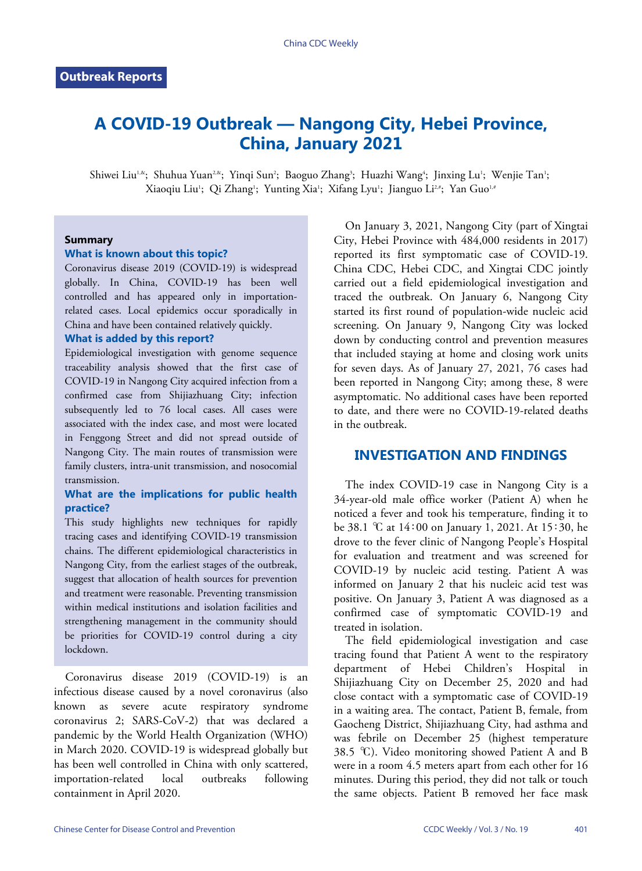# **A COVID-19 Outbreak — Nangong City, Hebei Province, China, January 2021**

Shiwei Liu<sup>1,&</sup>; Shuhua Yuan<sup>2,&</sup>; Yinqi Sun<sup>2</sup>; Baoguo Zhang<sup>3</sup>; Huazhi Wang<sup>4</sup>; Jinxing Lu<sup>1</sup>; Wenjie Tan<sup>1</sup>; Xiaoqiu Liu'; Qi Zhang'; Yunting Xia'; Xifang Lyu'; Jianguo Li2#; Yan Guo1#

## **Summary**

#### **What is known about this topic?**

Coronavirus disease 2019 (COVID-19) is widespread globally. In China, COVID-19 has been well controlled and has appeared only in importationrelated cases. Local epidemics occur sporadically in China and have been contained relatively quickly.

#### **What is added by this report?**

Epidemiological investigation with genome sequence traceability analysis showed that the first case of COVID-19 in Nangong City acquired infection from a confirmed case from Shijiazhuang City; infection subsequently led to 76 local cases. All cases were associated with the index case, and most were located in Fenggong Street and did not spread outside of Nangong City. The main routes of transmission were family clusters, intra-unit transmission, and nosocomial transmission.

# **What are the implications for public health practice?**

This study highlights new techniques for rapidly tracing cases and identifying COVID-19 transmission chains. The different epidemiological characteristics in Nangong City, from the earliest stages of the outbreak, suggest that allocation of health sources for prevention and treatment were reasonable. Preventing transmission within medical institutions and isolation facilities and strengthening management in the community should be priorities for COVID-19 control during a city lockdown.

Coronavirus disease 2019 (COVID-19) is an infectious disease caused by a novel coronavirus (also known as severe acute respiratory syndrome coronavirus 2; SARS-CoV-2) that was declared a pandemic by the World Health Organization (WHO) in March 2020. COVID-19 is widespread globally but has been well controlled in China with only scattered, importation-related local outbreaks following containment in April 2020.

On January 3, 2021, Nangong City (part of Xingtai City, Hebei Province with 484,000 residents in 2017) reported its first symptomatic case of COVID-19. China CDC, Hebei CDC, and Xingtai CDC jointly carried out a field epidemiological investigation and traced the outbreak. On January 6, Nangong City started its first round of population-wide nucleic acid screening. On January 9, Nangong City was locked down by conducting control and prevention measures that included staying at home and closing work units for seven days. As of January 27, 2021, 76 cases had been reported in Nangong City; among these, 8 were asymptomatic. No additional cases have been reported to date, and there were no COVID-19-related deaths in the outbreak.

# **INVESTIGATION AND FINDINGS**

The index COVID-19 case in Nangong City is a 34-year-old male office worker (Patient A) when he noticed a fever and took his temperature, finding it to be 38.1 ℃ at 14∶00 on January 1, 2021. At 15∶30, he drove to the fever clinic of Nangong People's Hospital for evaluation and treatment and was screened for COVID-19 by nucleic acid testing. Patient A was informed on January 2 that his nucleic acid test was positive. On January 3, Patient A was diagnosed as a confirmed case of symptomatic COVID-19 and treated in isolation.

The field epidemiological investigation and case tracing found that Patient A went to the respiratory department of Hebei Children's Hospital in Shijiazhuang City on December 25, 2020 and had close contact with a symptomatic case of COVID-19 in a waiting area. The contact, Patient B, female, from Gaocheng District, Shijiazhuang City, had asthma and was febrile on December 25 (highest temperature 38.5 °C). Video monitoring showed Patient A and B were in a room 4.5 meters apart from each other for 16 minutes. During this period, they did not talk or touch the same objects. Patient B removed her face mask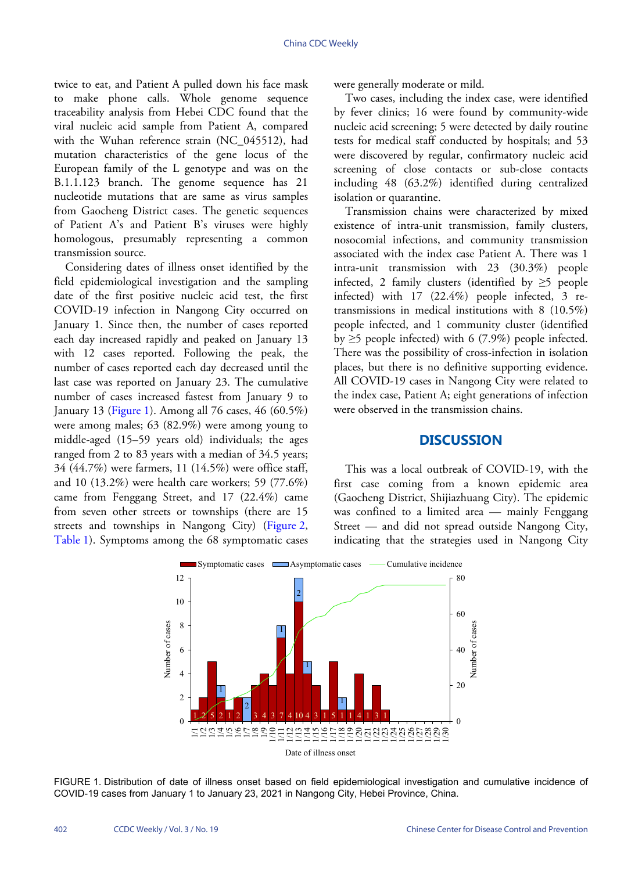twice to eat, and Patient A pulled down his face mask to make phone calls. Whole genome sequence traceability analysis from Hebei CDC found that the viral nucleic acid sample from Patient A, compared with the Wuhan reference strain (NC\_045512), had mutation characteristics of the gene locus of the European family of the L genotype and was on the B.1.1.123 branch. The genome sequence has 21 nucleotide mutations that are same as virus samples from Gaocheng District cases. The genetic sequences of Patient A's and Patient B's viruses were highly homologous, presumably representing a common transmission source.

Considering dates of illness onset identified by the field epidemiological investigation and the sampling date of the first positive nucleic acid test, the first COVID-19 infection in Nangong City occurred on January 1. Since then, the number of cases reported each day increased rapidly and peaked on January 13 with 12 cases reported. Following the peak, the number of cases reported each day decreased until the last case was reported on January 23. The cumulative numberof cases increased fastest from January 9 to January 13 [\(Figure 1\)](#page-1-0). Among all 76 cases, 46 (60.5%) were among males; 63 (82.9%) were among young to middle-aged (15–59 years old) individuals; the ages ranged from 2 to 83 years with a median of 34.5 years; 34 (44.7%) were farmers, 11 (14.5%) were office staff, and 10 (13.2%) were health care workers; 59 (77.6%) came from Fenggang Street, and 17 (22.4%) came from seven other streets or townships (there are 15 [streets a](#page-2-1)nd townships in Nangong City) [\(Figure 2,](#page-2-0) [Table 1\)](#page-2-1). Symptoms among the 68 symptomatic cases

were generally moderate or mild.

Two cases, including the index case, were identified by fever clinics; 16 were found by community-wide nucleic acid screening; 5 were detected by daily routine tests for medical staff conducted by hospitals; and 53 were discovered by regular, confirmatory nucleic acid screening of close contacts or sub-close contacts including 48 (63.2%) identified during centralized isolation or quarantine.

Transmission chains were characterized by mixed existence of intra-unit transmission, family clusters, nosocomial infections, and community transmission associated with the index case Patient A. There was 1 intra-unit transmission with 23 (30.3%) people infected, 2 family clusters (identified by  $\geq$ 5 people infected) with 17 (22.4%) people infected, 3 retransmissions in medical institutions with 8 (10.5%) people infected, and 1 community cluster (identified by  $\geq$ 5 people infected) with 6 (7.9%) people infected. There was the possibility of cross-infection in isolation places, but there is no definitive supporting evidence. All COVID-19 cases in Nangong City were related to the index case, Patient A; eight generations of infection were observed in the transmission chains.

## **DISCUSSION**

This was a local outbreak of COVID-19, with the first case coming from a known epidemic area (Gaocheng District, Shijiazhuang City). The epidemic was confined to a limited area — mainly Fenggang Street — and did not spread outside Nangong City, indicating that the strategies used in Nangong City

<span id="page-1-0"></span>

FIGURE 1. Distribution of date of illness onset based on field epidemiological investigation and cumulative incidence of COVID-19 cases from January 1 to January 23, 2021 in Nangong City, Hebei Province, China.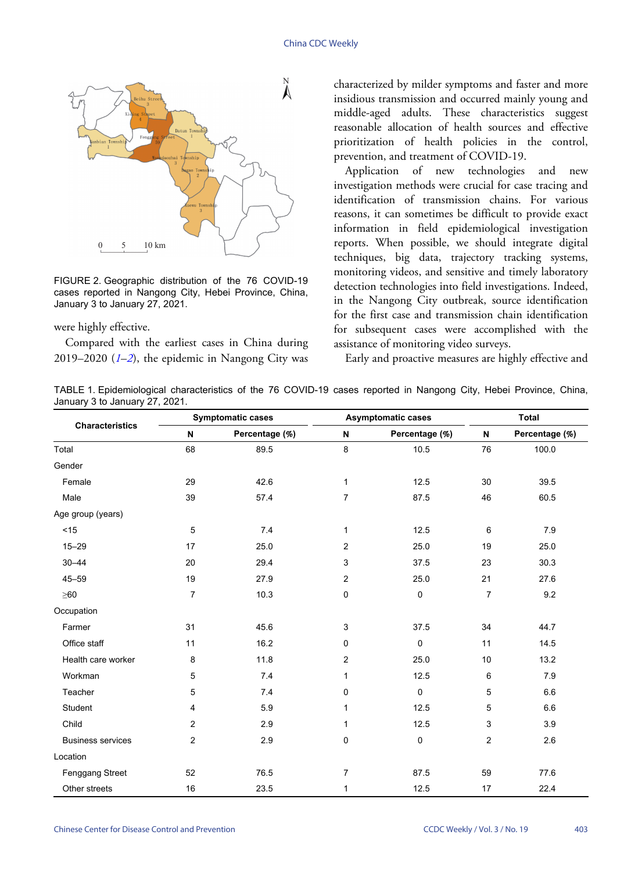<span id="page-2-0"></span>

FIGURE 2. Geographic distribution of the 76 COVID-19 cases reported in Nangong City, Hebei Province, China, January 3 to January 27, 2021.

were highly effective.

Compared with the earliest cases in China during 2019–2020 (*[1](#page-3-0)*–*[2](#page-3-1)*), the epidemic in Nangong City was characterized by milder symptoms and faster and more insidious transmission and occurred mainly young and middle-aged adults. These characteristics suggest reasonable allocation of health sources and effective prioritization of health policies in the control, prevention, and treatment of COVID-19.

Application of new technologies and new investigation methods were crucial for case tracing and identification of transmission chains. For various reasons, it can sometimes be difficult to provide exact information in field epidemiological investigation reports. When possible, we should integrate digital techniques, big data, trajectory tracking systems, monitoring videos, and sensitive and timely laboratory detection technologies into field investigations. Indeed, in the Nangong City outbreak, source identification for the first case and transmission chain identification for subsequent cases were accomplished with the assistance of monitoring video surveys.

Early and proactive measures are highly effective and

<span id="page-2-1"></span>TABLE 1. Epidemiological characteristics of the 76 COVID-19 cases reported in Nangong City, Hebei Province, China, January 3 to January 27, 2021.

| <b>Characteristics</b>   | <b>Symptomatic cases</b> |                | <b>Asymptomatic cases</b> |                | <b>Total</b> |                |
|--------------------------|--------------------------|----------------|---------------------------|----------------|--------------|----------------|
|                          | N                        | Percentage (%) | N                         | Percentage (%) | N            | Percentage (%) |
| Total                    | 68                       | 89.5           | 8                         | 10.5           | 76           | 100.0          |
| Gender                   |                          |                |                           |                |              |                |
| Female                   | 29                       | 42.6           | 1                         | 12.5           | 30           | 39.5           |
| Male                     | 39                       | 57.4           | $\overline{7}$            | 87.5           | 46           | 60.5           |
| Age group (years)        |                          |                |                           |                |              |                |
| $<15$                    | 5                        | 7.4            | $\mathbf{1}$              | 12.5           | 6            | 7.9            |
| $15 - 29$                | 17                       | 25.0           | $\overline{2}$            | 25.0           | 19           | 25.0           |
| $30 - 44$                | 20                       | 29.4           | 3                         | 37.5           | 23           | 30.3           |
| $45 - 59$                | 19                       | 27.9           | $\overline{c}$            | 25.0           | 21           | 27.6           |
| $\geq 60$                | $\overline{7}$           | 10.3           | 0                         | $\pmb{0}$      | 7            | 9.2            |
| Occupation               |                          |                |                           |                |              |                |
| Farmer                   | 31                       | 45.6           | 3                         | 37.5           | 34           | 44.7           |
| Office staff             | 11                       | 16.2           | 0                         | $\mathbf 0$    | 11           | 14.5           |
| Health care worker       | 8                        | 11.8           | $\overline{c}$            | 25.0           | 10           | 13.2           |
| Workman                  | 5                        | 7.4            | $\mathbf{1}$              | 12.5           | 6            | 7.9            |
| Teacher                  | 5                        | 7.4            | 0                         | $\pmb{0}$      | 5            | 6.6            |
| Student                  | 4                        | 5.9            | 1                         | 12.5           | 5            | 6.6            |
| Child                    | $\overline{2}$           | 2.9            | 1                         | 12.5           | 3            | 3.9            |
| <b>Business services</b> | 2                        | 2.9            | 0                         | 0              | 2            | 2.6            |
| Location                 |                          |                |                           |                |              |                |
| <b>Fenggang Street</b>   | 52                       | 76.5           | $\overline{7}$            | 87.5           | 59           | 77.6           |
| Other streets            | 16                       | 23.5           | $\mathbf{1}$              | 12.5           | 17           | 22.4           |